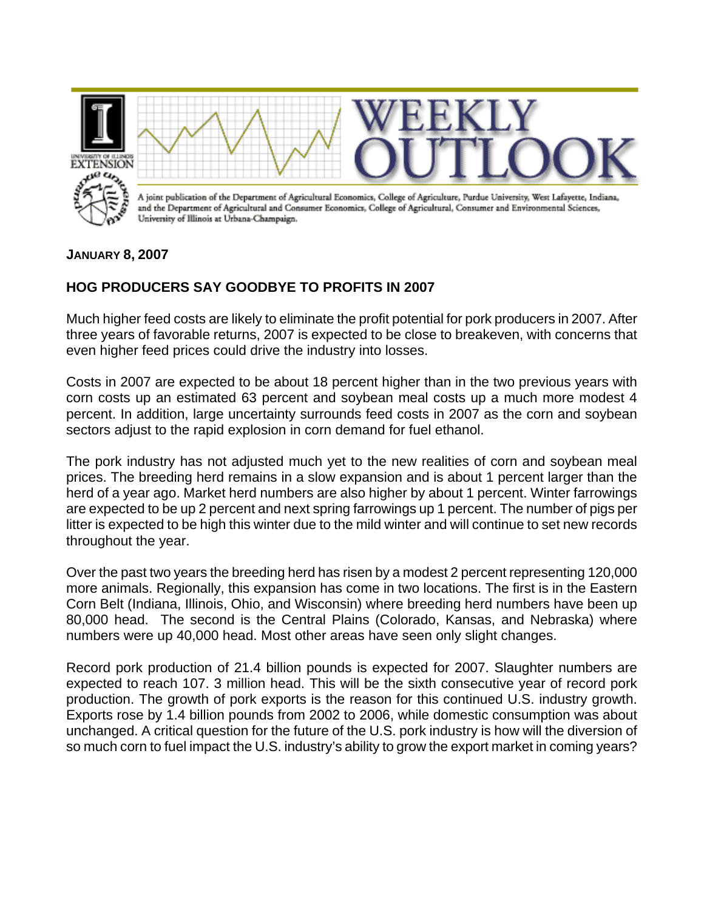

**JANUARY 8, 2007** 

## **HOG PRODUCERS SAY GOODBYE TO PROFITS IN 2007**

Much higher feed costs are likely to eliminate the profit potential for pork producers in 2007. After three years of favorable returns, 2007 is expected to be close to breakeven, with concerns that even higher feed prices could drive the industry into losses.

Costs in 2007 are expected to be about 18 percent higher than in the two previous years with corn costs up an estimated 63 percent and soybean meal costs up a much more modest 4 percent. In addition, large uncertainty surrounds feed costs in 2007 as the corn and soybean sectors adjust to the rapid explosion in corn demand for fuel ethanol.

The pork industry has not adjusted much yet to the new realities of corn and soybean meal prices. The breeding herd remains in a slow expansion and is about 1 percent larger than the herd of a year ago. Market herd numbers are also higher by about 1 percent. Winter farrowings are expected to be up 2 percent and next spring farrowings up 1 percent. The number of pigs per litter is expected to be high this winter due to the mild winter and will continue to set new records throughout the year.

Over the past two years the breeding herd has risen by a modest 2 percent representing 120,000 more animals. Regionally, this expansion has come in two locations. The first is in the Eastern Corn Belt (Indiana, Illinois, Ohio, and Wisconsin) where breeding herd numbers have been up 80,000 head. The second is the Central Plains (Colorado, Kansas, and Nebraska) where numbers were up 40,000 head. Most other areas have seen only slight changes.

Record pork production of 21.4 billion pounds is expected for 2007. Slaughter numbers are expected to reach 107. 3 million head. This will be the sixth consecutive year of record pork production. The growth of pork exports is the reason for this continued U.S. industry growth. Exports rose by 1.4 billion pounds from 2002 to 2006, while domestic consumption was about unchanged. A critical question for the future of the U.S. pork industry is how will the diversion of so much corn to fuel impact the U.S. industry's ability to grow the export market in coming years?